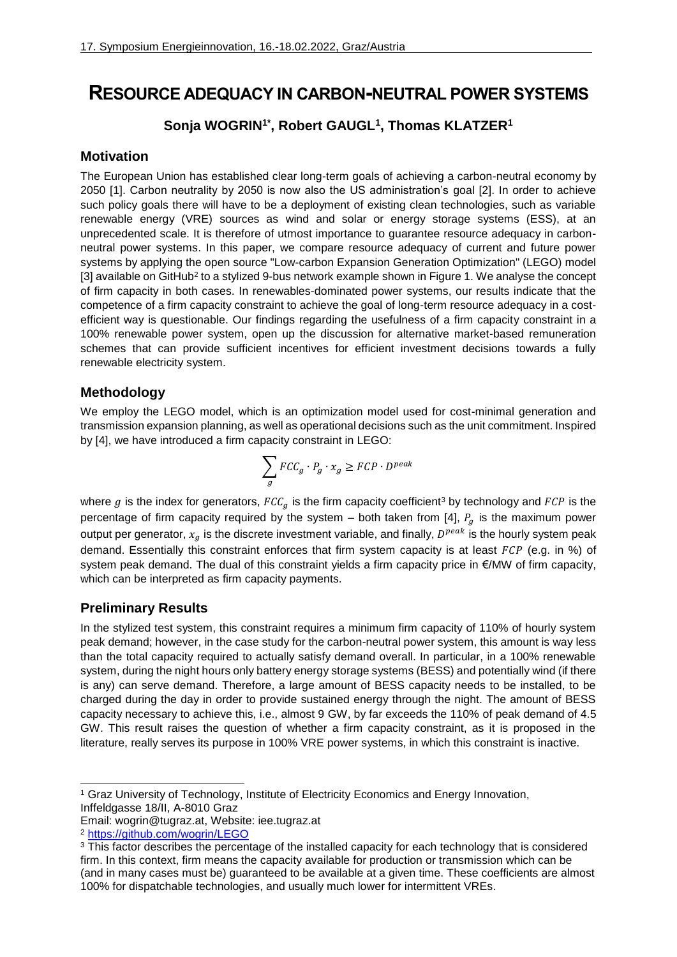# **RESOURCE ADEQUACY IN CARBON-NEUTRAL POWER SYSTEMS**

# <span id="page-0-0"></span>**Sonja WOGRIN1\* , Robert GAUGL[1](#page-0-0) , Thomas KLATZER[1](#page-0-0)**

#### **Motivation**

The European Union has established clear long-term goals of achieving a carbon-neutral economy by 2050 [\[1\].](#page-1-0) Carbon neutrality by 2050 is now also the US administration's goal [\[2\].](#page-1-1) In order to achieve such policy goals there will have to be a deployment of existing clean technologies, such as variable renewable energy (VRE) sources as wind and solar or energy storage systems (ESS), at an unprecedented scale. It is therefore of utmost importance to guarantee resource adequacy in carbonneutral power systems. In this paper, we compare resource adequacy of current and future power systems by applying the open source "Low-carbon Expansion Generation Optimization" (LEGO) model [\[3\]](#page-1-2) available on GitHub<sup>2</sup> to a stylized 9-bus network example shown i[n Figure 1.](#page-1-3) We analyse the concept of firm capacity in both cases. In renewables-dominated power systems, our results indicate that the competence of a firm capacity constraint to achieve the goal of long-term resource adequacy in a costefficient way is questionable. Our findings regarding the usefulness of a firm capacity constraint in a 100% renewable power system, open up the discussion for alternative market-based remuneration schemes that can provide sufficient incentives for efficient investment decisions towards a fully renewable electricity system.

### **Methodology**

We employ the LEGO model, which is an optimization model used for cost-minimal generation and transmission expansion planning, as well as operational decisions such as the unit commitment. Inspired by [\[4\],](#page-1-4) we have introduced a firm capacity constraint in LEGO:

$$
\sum_{g} FCC_{g} \cdot P_{g} \cdot x_{g} \geq FCP \cdot D^{peak}
$$

where g is the index for generators,  $FCC<sub>g</sub>$  is the firm capacity coefficient<sup>3</sup> by technology and  $FCP$  is the percentage of firm capacity required by the system – both taken from [\[4\],](#page-1-4)  $P_a$  is the maximum power output per generator,  $x_g$  is the discrete investment variable, and finally,  $D^{peak}$  is the hourly system peak demand. Essentially this constraint enforces that firm system capacity is at least  $FCP$  (e.g. in %) of system peak demand. The dual of this constraint yields a firm capacity price in €/MW of firm capacity, which can be interpreted as firm capacity payments.

## **Preliminary Results**

In the stylized test system, this constraint requires a minimum firm capacity of 110% of hourly system peak demand; however, in the case study for the carbon-neutral power system, this amount is way less than the total capacity required to actually satisfy demand overall. In particular, in a 100% renewable system, during the night hours only battery energy storage systems (BESS) and potentially wind (if there is any) can serve demand. Therefore, a large amount of BESS capacity needs to be installed, to be charged during the day in order to provide sustained energy through the night. The amount of BESS capacity necessary to achieve this, i.e., almost 9 GW, by far exceeds the 110% of peak demand of 4.5 GW. This result raises the question of whether a firm capacity constraint, as it is proposed in the literature, really serves its purpose in 100% VRE power systems, in which this constraint is inactive.

Email: wogrin@tugraz.at, Website: iee.tugraz.at

<sup>-</sup><sup>1</sup> Graz University of Technology, Institute of Electricity Economics and Energy Innovation, Inffeldgasse 18/II, A-8010 Graz

<sup>2</sup> <https://github.com/wogrin/LEGO>

<sup>&</sup>lt;sup>3</sup> This factor describes the percentage of the installed capacity for each technology that is considered firm. In this context, firm means the capacity available for production or transmission which can be (and in many cases must be) guaranteed to be available at a given time. These coefficients are almost 100% for dispatchable technologies, and usually much lower for intermittent VREs.